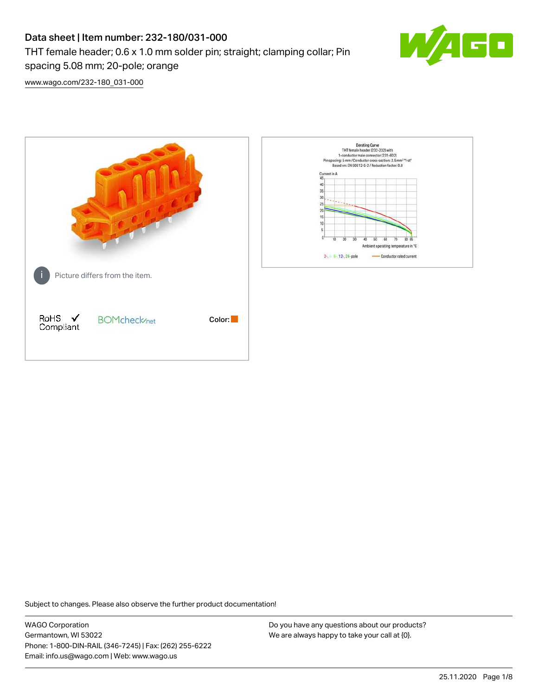# Data sheet | Item number: 232-180/031-000 THT female header; 0.6 x 1.0 mm solder pin; straight; clamping collar; Pin spacing 5.08 mm; 20-pole; orange



[www.wago.com/232-180\\_031-000](http://www.wago.com/232-180_031-000)



Subject to changes. Please also observe the further product documentation!

WAGO Corporation Germantown, WI 53022 Phone: 1-800-DIN-RAIL (346-7245) | Fax: (262) 255-6222 Email: info.us@wago.com | Web: www.wago.us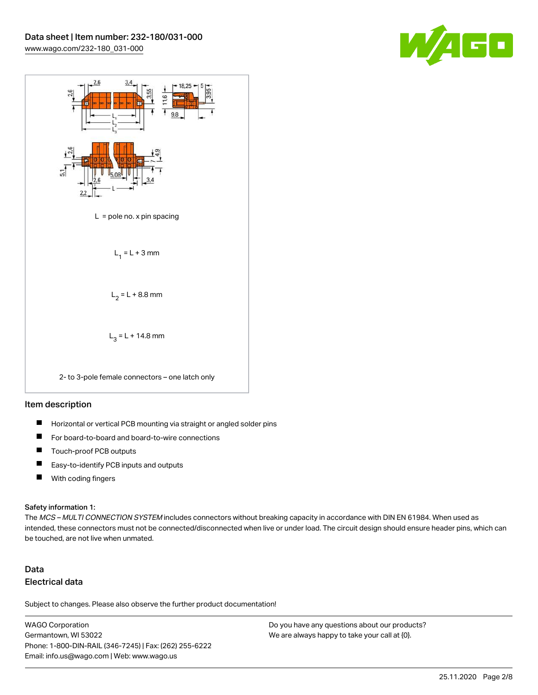



#### Item description

- $\blacksquare$ Horizontal or vertical PCB mounting via straight or angled solder pins
- П For board-to-board and board-to-wire connections
- $\blacksquare$ Touch-proof PCB outputs
- $\blacksquare$ Easy-to-identify PCB inputs and outputs
- $\blacksquare$ With coding fingers

#### Safety information 1:

The MCS - MULTI CONNECTION SYSTEM includes connectors without breaking capacity in accordance with DIN EN 61984. When used as intended, these connectors must not be connected/disconnected when live or under load. The circuit design should ensure header pins, which can be touched, are not live when unmated.

## Data Electrical data

Subject to changes. Please also observe the further product documentation!

WAGO Corporation Germantown, WI 53022 Phone: 1-800-DIN-RAIL (346-7245) | Fax: (262) 255-6222 Email: info.us@wago.com | Web: www.wago.us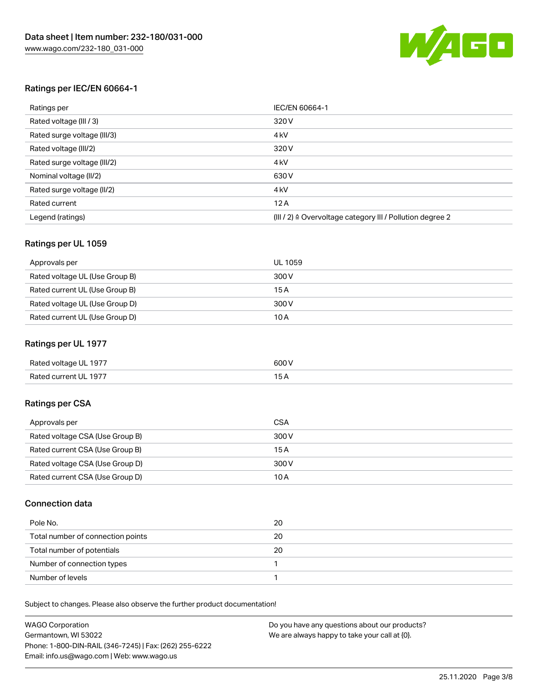

#### Ratings per IEC/EN 60664-1

| Ratings per                 | IEC/EN 60664-1                                                        |
|-----------------------------|-----------------------------------------------------------------------|
| Rated voltage (III / 3)     | 320 V                                                                 |
| Rated surge voltage (III/3) | 4 <sub>k</sub> V                                                      |
| Rated voltage (III/2)       | 320 V                                                                 |
| Rated surge voltage (III/2) | 4 <sub>k</sub> V                                                      |
| Nominal voltage (II/2)      | 630 V                                                                 |
| Rated surge voltage (II/2)  | 4 <sub>k</sub> V                                                      |
| Rated current               | 12A                                                                   |
| Legend (ratings)            | $(III / 2)$ $\triangle$ Overvoltage category III / Pollution degree 2 |

#### Ratings per UL 1059

| Approvals per                  | UL 1059 |
|--------------------------------|---------|
| Rated voltage UL (Use Group B) | 300 V   |
| Rated current UL (Use Group B) | 15 A    |
| Rated voltage UL (Use Group D) | 300 V   |
| Rated current UL (Use Group D) | 10A     |

#### Ratings per UL 1977

| Rated voltage UL 1977 | 600 <sup>V</sup><br>. |
|-----------------------|-----------------------|
| Rated current UL 1977 |                       |

#### Ratings per CSA

| Approvals per                   | CSA   |
|---------------------------------|-------|
| Rated voltage CSA (Use Group B) | 300 V |
| Rated current CSA (Use Group B) | 15 A  |
| Rated voltage CSA (Use Group D) | 300 V |
| Rated current CSA (Use Group D) | 10 A  |

#### Connection data

| Pole No.                          | 20 |
|-----------------------------------|----|
| Total number of connection points | 20 |
| Total number of potentials        | 20 |
| Number of connection types        |    |
| Number of levels                  |    |

Subject to changes. Please also observe the further product documentation!

| <b>WAGO Corporation</b>                                | Do you have any questions about our products? |
|--------------------------------------------------------|-----------------------------------------------|
| Germantown, WI 53022                                   | We are always happy to take your call at {0}. |
| Phone: 1-800-DIN-RAIL (346-7245)   Fax: (262) 255-6222 |                                               |
| Email: info.us@wago.com   Web: www.wago.us             |                                               |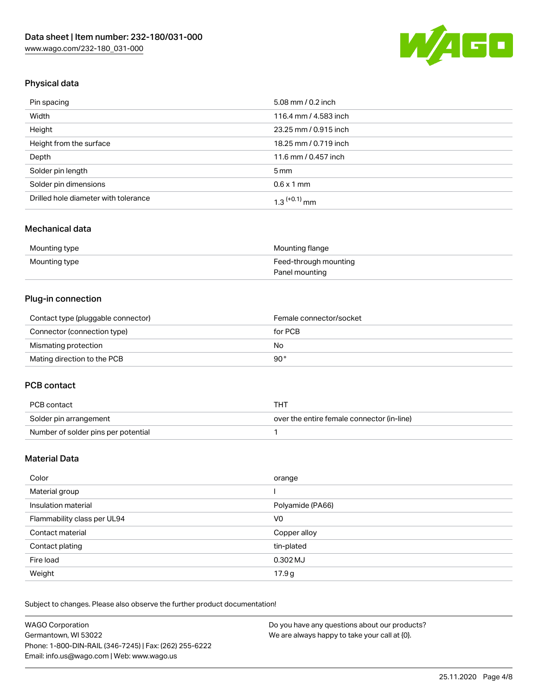

## Physical data

| Pin spacing                          | 5.08 mm / 0.2 inch    |
|--------------------------------------|-----------------------|
| Width                                | 116.4 mm / 4.583 inch |
| Height                               | 23.25 mm / 0.915 inch |
| Height from the surface              | 18.25 mm / 0.719 inch |
| Depth                                | 11.6 mm / 0.457 inch  |
| Solder pin length                    | $5 \,\mathrm{mm}$     |
| Solder pin dimensions                | $0.6 \times 1$ mm     |
| Drilled hole diameter with tolerance | $1.3$ $(+0.1)$ mm     |

#### Mechanical data

| Mounting type | Mounting flange       |
|---------------|-----------------------|
| Mounting type | Feed-through mounting |
|               | Panel mounting        |

### Plug-in connection

| Contact type (pluggable connector) | Female connector/socket |
|------------------------------------|-------------------------|
| Connector (connection type)        | for PCB                 |
| Mismating protection               | No                      |
| Mating direction to the PCB        | 90°                     |

#### PCB contact

| PCB contact                         | THT                                        |
|-------------------------------------|--------------------------------------------|
| Solder pin arrangement              | over the entire female connector (in-line) |
| Number of solder pins per potential |                                            |

## Material Data

| Color                       | orange           |
|-----------------------------|------------------|
| Material group              |                  |
| Insulation material         | Polyamide (PA66) |
| Flammability class per UL94 | V0               |
| Contact material            | Copper alloy     |
| Contact plating             | tin-plated       |
| Fire load                   | 0.302 MJ         |
| Weight                      | 17.9g            |

Subject to changes. Please also observe the further product documentation!

| <b>WAGO Corporation</b>                                | Do you have any questions about our products? |
|--------------------------------------------------------|-----------------------------------------------|
| Germantown, WI 53022                                   | We are always happy to take your call at {0}. |
| Phone: 1-800-DIN-RAIL (346-7245)   Fax: (262) 255-6222 |                                               |
| Email: info.us@wago.com   Web: www.wago.us             |                                               |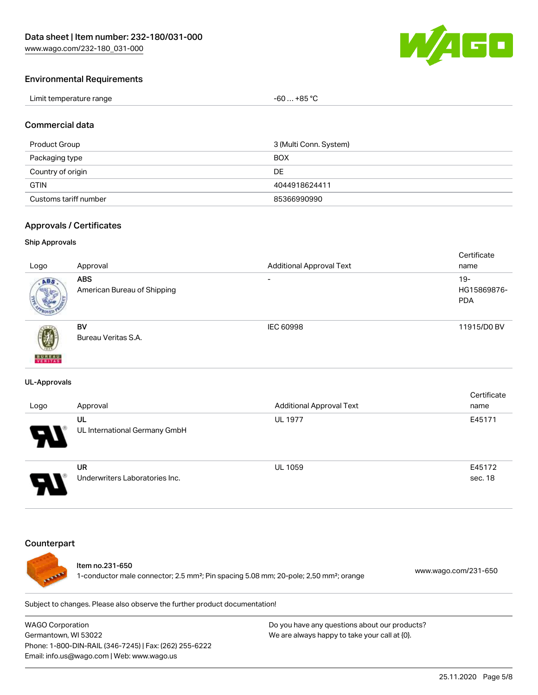

#### Environmental Requirements

| Limit temperature range | -60  +85 °Ր |
|-------------------------|-------------|
|-------------------------|-------------|

#### Commercial data

| Product Group         | 3 (Multi Conn. System) |
|-----------------------|------------------------|
| Packaging type        | <b>BOX</b>             |
| Country of origin     | DE                     |
| <b>GTIN</b>           | 4044918624411          |
| Customs tariff number | 85366990990            |

#### Approvals / Certificates

#### Ship Approvals

|                           |                             |                                 | Certificate |
|---------------------------|-----------------------------|---------------------------------|-------------|
| Logo                      | Approval                    | <b>Additional Approval Text</b> | name        |
| ABS.                      | <b>ABS</b>                  | $\overline{\phantom{0}}$        | $19-$       |
|                           | American Bureau of Shipping |                                 | HG15869876- |
|                           |                             |                                 | <b>PDA</b>  |
|                           |                             |                                 |             |
|                           | <b>BV</b>                   | IEC 60998                       | 11915/D0 BV |
| 蓼                         | Bureau Veritas S.A.         |                                 |             |
|                           |                             |                                 |             |
| <b>BUREAU</b><br>VERITAST |                             |                                 |             |

#### UL-Approvals

| Logo | Approval                             | <b>Additional Approval Text</b> | Certificate<br>name |
|------|--------------------------------------|---------------------------------|---------------------|
| 8    | UL<br>UL International Germany GmbH  | <b>UL 1977</b>                  | E45171              |
| o    | UR<br>Underwriters Laboratories Inc. | <b>UL 1059</b>                  | E45172<br>sec. 18   |

#### **Counterpart**



#### Item no.231-650

1-conductor male connector; 2.5 mm²; Pin spacing 5.08 mm; 20-pole; 2,50 mm²; orange [www.wago.com/231-650](https://www.wago.com/231-650)

Subject to changes. Please also observe the further product documentation!

WAGO Corporation Germantown, WI 53022 Phone: 1-800-DIN-RAIL (346-7245) | Fax: (262) 255-6222 Email: info.us@wago.com | Web: www.wago.us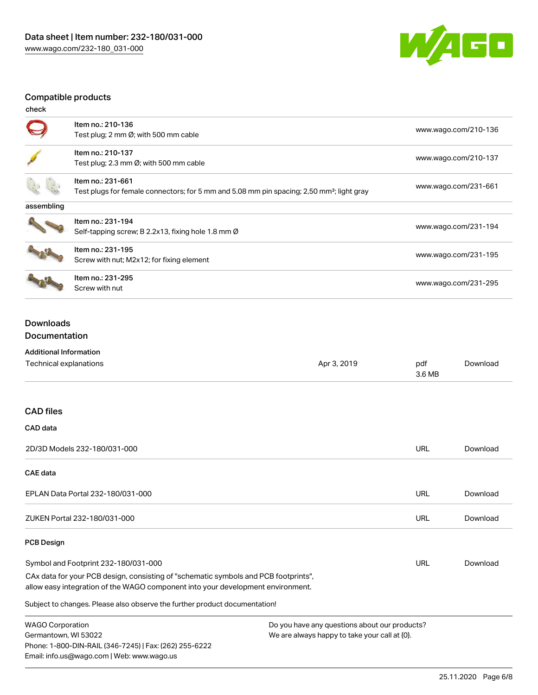

## Compatible products

| check      |                                                                                                                            |                      |
|------------|----------------------------------------------------------------------------------------------------------------------------|----------------------|
|            | Item no.: 210-136<br>Test plug; 2 mm Ø; with 500 mm cable                                                                  | www.wago.com/210-136 |
|            | Item no.: 210-137<br>Test plug; 2.3 mm $\varnothing$ ; with 500 mm cable                                                   | www.wago.com/210-137 |
|            | Item no.: 231-661<br>Test plugs for female connectors; for 5 mm and 5.08 mm pin spacing; 2,50 mm <sup>2</sup> ; light gray | www.wago.com/231-661 |
| assembling |                                                                                                                            |                      |
|            | Item no.: 231-194<br>Self-tapping screw; B 2.2x13, fixing hole 1.8 mm Ø                                                    | www.wago.com/231-194 |
|            | Item no.: 231-195<br>Screw with nut; M2x12; for fixing element                                                             | www.wago.com/231-195 |
|            | Item no.: 231-295<br>Screw with nut                                                                                        | www.wago.com/231-295 |

### Downloads Documentation

## Additional Information

Phone: 1-800-DIN-RAIL (346-7245) | Fax: (262) 255-6222

Email: info.us@wago.com | Web: www.wago.us

| Technical explanations                                                                                                                                                 | Apr 3, 2019                                      | pdf<br>3.6 MB | Download |
|------------------------------------------------------------------------------------------------------------------------------------------------------------------------|--------------------------------------------------|---------------|----------|
| <b>CAD files</b>                                                                                                                                                       |                                                  |               |          |
| CAD data                                                                                                                                                               |                                                  |               |          |
| 2D/3D Models 232-180/031-000                                                                                                                                           |                                                  | <b>URL</b>    | Download |
| <b>CAE</b> data                                                                                                                                                        |                                                  |               |          |
| EPLAN Data Portal 232-180/031-000                                                                                                                                      |                                                  | <b>URL</b>    | Download |
| ZUKEN Portal 232-180/031-000                                                                                                                                           |                                                  | <b>URL</b>    | Download |
| <b>PCB Design</b>                                                                                                                                                      |                                                  |               |          |
| Symbol and Footprint 232-180/031-000                                                                                                                                   |                                                  | URL           | Download |
| CAx data for your PCB design, consisting of "schematic symbols and PCB footprints",<br>allow easy integration of the WAGO component into your development environment. |                                                  |               |          |
| Subject to changes. Please also observe the further product documentation!                                                                                             |                                                  |               |          |
| <b>WAGO Corporation</b>                                                                                                                                                | Do you have any questions about our products?    |               |          |
| Germantown, WI 53022                                                                                                                                                   | We are always happy to take your call at $[0]$ . |               |          |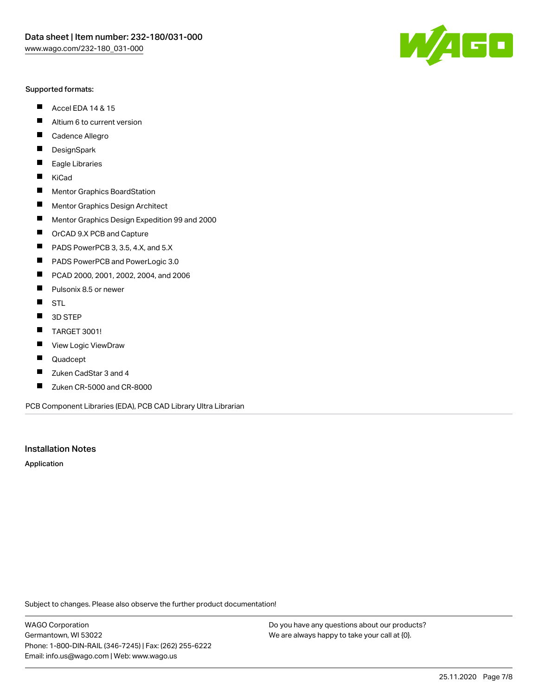#### Supported formats:

- $\blacksquare$ Accel EDA 14 & 15
- $\blacksquare$ Altium 6 to current version
- $\blacksquare$ Cadence Allegro
- $\blacksquare$ **DesignSpark**
- $\blacksquare$ Eagle Libraries
- $\blacksquare$ KiCad
- $\blacksquare$ Mentor Graphics BoardStation
- $\blacksquare$ Mentor Graphics Design Architect
- $\blacksquare$ Mentor Graphics Design Expedition 99 and 2000
- $\blacksquare$ OrCAD 9.X PCB and Capture
- $\blacksquare$ PADS PowerPCB 3, 3.5, 4.X, and 5.X
- $\blacksquare$ PADS PowerPCB and PowerLogic 3.0
- $\blacksquare$ PCAD 2000, 2001, 2002, 2004, and 2006
- $\blacksquare$ Pulsonix 8.5 or newer
- $\blacksquare$ STL
- 3D STEP П
- $\blacksquare$ TARGET 3001!
- $\blacksquare$ View Logic ViewDraw
- $\blacksquare$ Quadcept
- Zuken CadStar 3 and 4  $\blacksquare$
- Zuken CR-5000 and CR-8000 П

PCB Component Libraries (EDA), PCB CAD Library Ultra Librarian

#### Installation Notes

Application

Subject to changes. Please also observe the further product documentation!

WAGO Corporation Germantown, WI 53022 Phone: 1-800-DIN-RAIL (346-7245) | Fax: (262) 255-6222 Email: info.us@wago.com | Web: www.wago.us